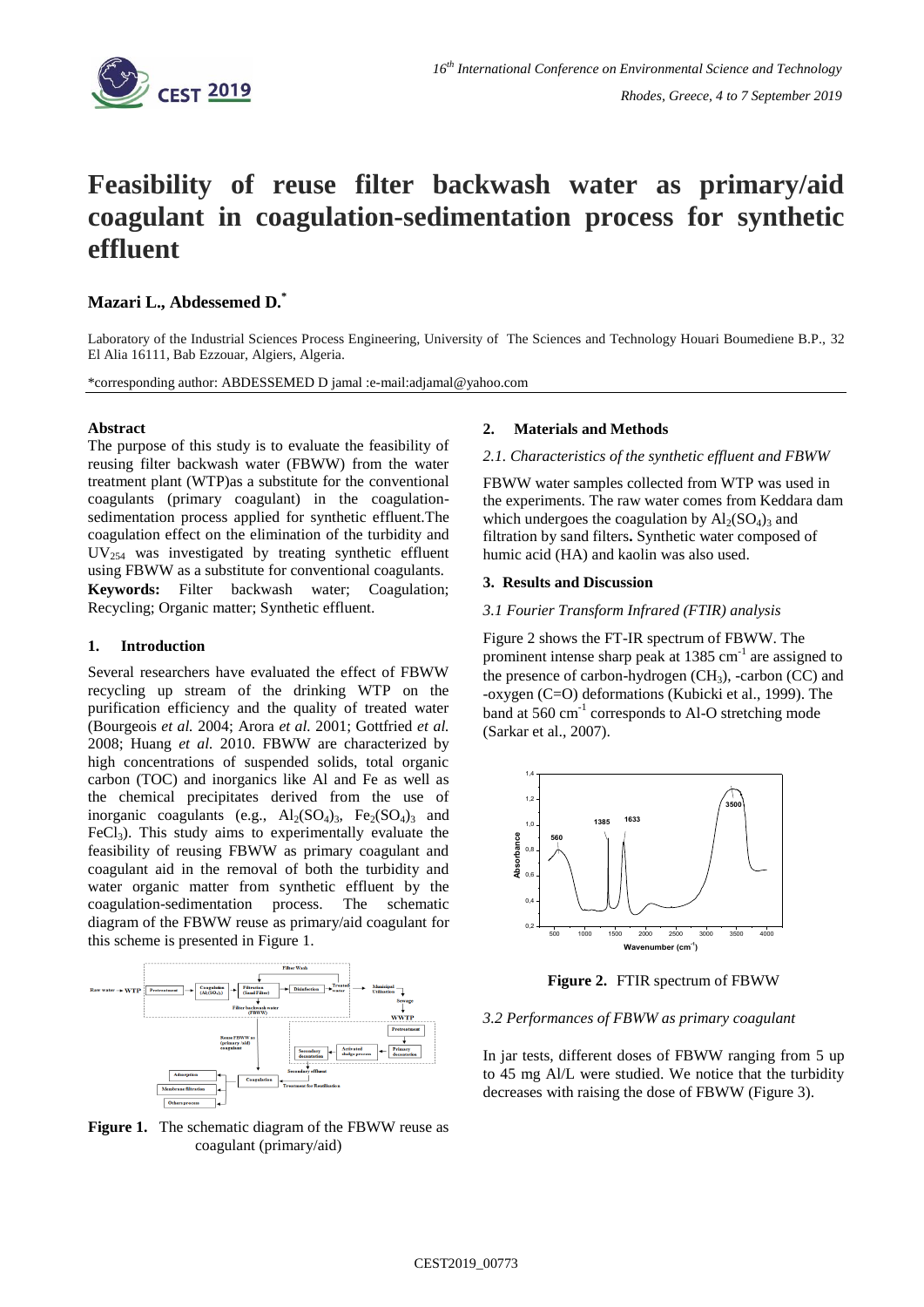

# **Feasibility of reuse filter backwash water as primary/aid coagulant in coagulation-sedimentation process for synthetic effluent**

# **Mazari L., Abdessemed D.\***

Laboratory of the Industrial Sciences Process Engineering, University of The Sciences and Technology Houari Boumediene B.P., 32 El Alia 16111, Bab Ezzouar, Algiers, Algeria.

\*corresponding author: ABDESSEMED D jamal :e-mail:adjamal@yahoo.com

## **Abstract**

The purpose of this study is to evaluate the feasibility of reusing filter backwash water (FBWW) from the water treatment plant (WTP)as a substitute for the conventional coagulants (primary coagulant) in the coagulationsedimentation process applied for synthetic effluent.The coagulation effect on the elimination of the turbidity and  $UV_{254}$  was investigated by treating synthetic effluent using FBWW as a substitute for conventional coagulants. **Keywords:** Filter backwash water; Coagulation; Recycling; Organic matter; Synthetic effluent.

## **1. Introduction**

Several researchers have evaluated the effect of FBWW recycling up stream of the drinking WTP on the purification efficiency and the quality of treated water (Bourgeois *et al.* 2004; Arora *et al.* 2001; Gottfried *et al.* 2008; Huang *et al.* 2010. FBWW are characterized by high concentrations of suspended solids, total organic carbon (TOC) and inorganics like Al and Fe as well as the chemical precipitates derived from the use of inorganic coagulants (e.g.,  $Al_2(SO_4)_3$ ,  $Fe_2(SO_4)_3$  and  $FeCl<sub>3</sub>$ ). This study aims to experimentally evaluate the feasibility of reusing FBWW as primary coagulant and coagulant aid in the removal of both the turbidity and water organic matter from synthetic effluent by the coagulation-sedimentation process. The schematic diagram of the FBWW reuse as primary/aid coagulant for this scheme is presented in Figure 1.



Figure 1. The schematic diagram of the FBWW reuse as coagulant (primary/aid)

## **2. Materials and Methods**

#### *2.1. Characteristics of the synthetic effluent and FBWW*

FBWW water samples collected from WTP was used in the experiments. The raw water comes from Keddara dam which undergoes the coagulation by  $Al_2(SO_4)$ <sub>3</sub> and filtration by sand filters**.** Synthetic water composed of humic acid (HA) and kaolin was also used.

#### **3. Results and Discussion**

# *3.1 Fourier Transform Infrared (FTIR) analysis*

Figure 2 shows the FT-IR spectrum of FBWW. The prominent intense sharp peak at  $1385 \text{ cm}^{-1}$  are assigned to the presence of carbon-hydrogen  $(CH_3)$ , -carbon  $(CC)$  and -oxygen (C=O) deformations (Kubicki et al., 1999). The band at 560 cm<sup>-1</sup> corresponds to Al-O stretching mode (Sarkar et al., 2007).



**Figure 2.** FTIR spectrum of FBWW

## *3.2 Performances of FBWW as primary coagulant*

In jar tests, different doses of FBWW ranging from 5 up to 45 mg Al/L were studied. We notice that the turbidity decreases with raising the dose of FBWW (Figure 3).